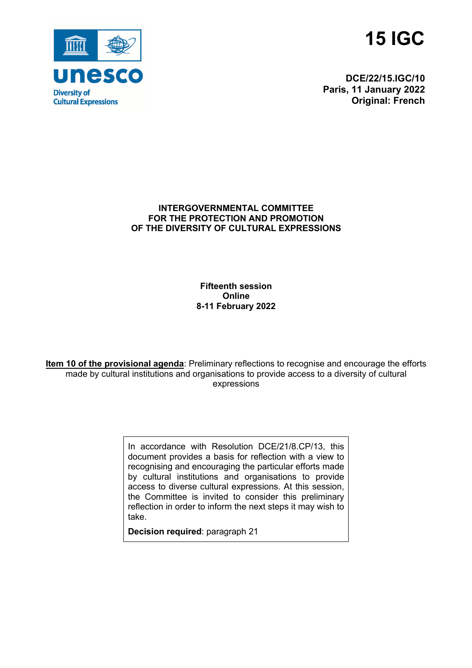



**DCE/22/15.IGC/10 Paris, 11 January 2022 Original: French**

#### **INTERGOVERNMENTAL COMMITTEE FOR THE PROTECTION AND PROMOTION OF THE DIVERSITY OF CULTURAL EXPRESSIONS**

**Fifteenth session Online 8-11 February 2022**

**Item 10 of the provisional agenda**: Preliminary reflections to recognise and encourage the efforts made by cultural institutions and organisations to provide access to a diversity of cultural expressions

> In accordance with Resolution DCE/21/8.CP/13, this document provides a basis for reflection with a view to recognising and encouraging the particular efforts made by cultural institutions and organisations to provide access to diverse cultural expressions. At this session, the Committee is invited to consider this preliminary reflection in order to inform the next steps it may wish to take.

**Decision required**: paragraph 21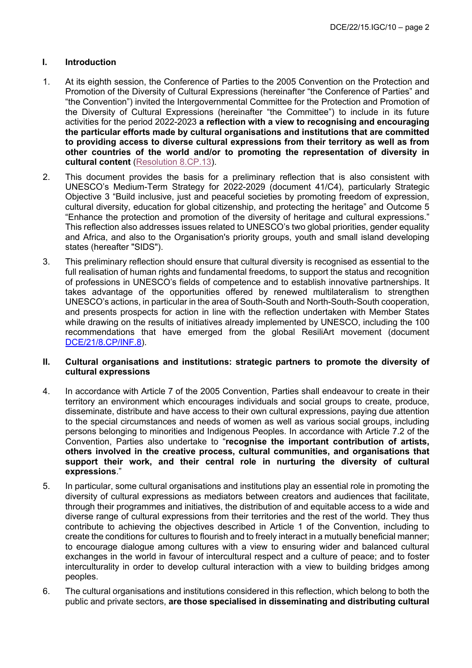### **I. Introduction**

- 1. At its eighth session, the Conference of Parties to the 2005 Convention on the Protection and Promotion of the Diversity of Cultural Expressions (hereinafter "the Conference of Parties" and "the Convention") invited the Intergovernmental Committee for the Protection and Promotion of the Diversity of Cultural Expressions (hereinafter "the Committee") to include in its future activities for the period 2022-2023 **a reflection with a view to recognising and encouraging the particular efforts made by cultural organisations and institutions that are committed to providing access to diverse cultural expressions from their territory as well as from other countries of the world and/or to promoting the representation of diversity in cultural content** (Resolution 8.CP.13).
- 2. This document provides the basis for a preliminary reflection that is also consistent with UNESCO's Medium-Term Strategy for 2022-2029 (document 41/C4), particularly Strategic Objective 3 "Build inclusive, just and peaceful societies by promoting freedom of expression, cultural diversity, education for global citizenship, and protecting the heritage" and Outcome 5 "Enhance the protection and promotion of the diversity of heritage and cultural expressions." This reflection also addresses issues related to UNESCO's two global priorities, gender equality and Africa, and also to the Organisation's priority groups, youth and small island developing states (hereafter "SIDS").
- 3. This preliminary reflection should ensure that cultural diversity is recognised as essential to the full realisation of human rights and fundamental freedoms, to support the status and recognition of professions in UNESCO's fields of competence and to establish innovative partnerships. It takes advantage of the opportunities offered by renewed multilateralism to strengthen UNESCO's actions, in particular in the area of South-South and North-South-South cooperation, and presents prospects for action in line with the reflection undertaken with Member States while drawing on the results of initiatives already implemented by UNESCO, including the 100 recommendations that have emerged from the global ResiliArt movement (document DCE/21/8.CP/INF.8).

#### **II. Cultural organisations and institutions: strategic partners to promote the diversity of cultural expressions**

- 4. In accordance with Article 7 of the 2005 Convention, Parties shall endeavour to create in their territory an environment which encourages individuals and social groups to create, produce, disseminate, distribute and have access to their own cultural expressions, paying due attention to the special circumstances and needs of women as well as various social groups, including persons belonging to minorities and Indigenous Peoples. In accordance with Article 7.2 of the Convention, Parties also undertake to "**recognise the important contribution of artists, others involved in the creative process, cultural communities, and organisations that support their work, and their central role in nurturing the diversity of cultural expressions**."
- 5. In particular, some cultural organisations and institutions play an essential role in promoting the diversity of cultural expressions as mediators between creators and audiences that facilitate, through their programmes and initiatives, the distribution of and equitable access to a wide and diverse range of cultural expressions from their territories and the rest of the world. They thus contribute to achieving the objectives described in Article 1 of the Convention, including to create the conditions for cultures to flourish and to freely interact in a mutually beneficial manner; to encourage dialogue among cultures with a view to ensuring wider and balanced cultural exchanges in the world in favour of intercultural respect and a culture of peace; and to foster interculturality in order to develop cultural interaction with a view to building bridges among peoples.
- 6. The cultural organisations and institutions considered in this reflection, which belong to both the public and private sectors, **are those specialised in disseminating and distributing cultural**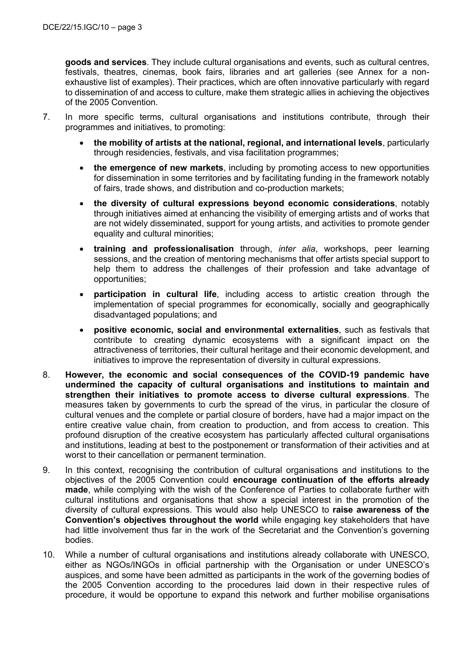**goods and services**. They include cultural organisations and events, such as cultural centres, festivals, theatres, cinemas, book fairs, libraries and art galleries (see Annex for a nonexhaustive list of examples). Their practices, which are often innovative particularly with regard to dissemination of and access to culture, make them strategic allies in achieving the objectives of the 2005 Convention.

- 7. In more specific terms, cultural organisations and institutions contribute, through their programmes and initiatives, to promoting:
	- **the mobility of artists at the national, regional, and international levels**, particularly through residencies, festivals, and visa facilitation programmes;
	- **the emergence of new markets**, including by promoting access to new opportunities for dissemination in some territories and by facilitating funding in the framework notably of fairs, trade shows, and distribution and co-production markets;
	- **the diversity of cultural expressions beyond economic considerations**, notably through initiatives aimed at enhancing the visibility of emerging artists and of works that are not widely disseminated, support for young artists, and activities to promote gender equality and cultural minorities;
	- **training and professionalisation** through, *inter alia*, workshops, peer learning sessions, and the creation of mentoring mechanisms that offer artists special support to help them to address the challenges of their profession and take advantage of opportunities;
	- **participation in cultural life**, including access to artistic creation through the implementation of special programmes for economically, socially and geographically disadvantaged populations; and
	- **positive economic, social and environmental externalities**, such as festivals that contribute to creating dynamic ecosystems with a significant impact on the attractiveness of territories, their cultural heritage and their economic development, and initiatives to improve the representation of diversity in cultural expressions.
- 8. **However, the economic and social consequences of the COVID-19 pandemic have undermined the capacity of cultural organisations and institutions to maintain and strengthen their initiatives to promote access to diverse cultural expressions**. The measures taken by governments to curb the spread of the virus, in particular the closure of cultural venues and the complete or partial closure of borders, have had a major impact on the entire creative value chain, from creation to production, and from access to creation. This profound disruption of the creative ecosystem has particularly affected cultural organisations and institutions, leading at best to the postponement or transformation of their activities and at worst to their cancellation or permanent termination.
- 9. In this context, recognising the contribution of cultural organisations and institutions to the objectives of the 2005 Convention could **encourage continuation of the efforts already made**, while complying with the wish of the Conference of Parties to collaborate further with cultural institutions and organisations that show a special interest in the promotion of the diversity of cultural expressions. This would also help UNESCO to **raise awareness of the Convention's objectives throughout the world** while engaging key stakeholders that have had little involvement thus far in the work of the Secretariat and the Convention's governing bodies.
- 10. While a number of cultural organisations and institutions already collaborate with UNESCO, either as NGOs/INGOs in official partnership with the Organisation or under UNESCO's auspices, and some have been admitted as participants in the work of the governing bodies of the 2005 Convention according to the procedures laid down in their respective rules of procedure, it would be opportune to expand this network and further mobilise organisations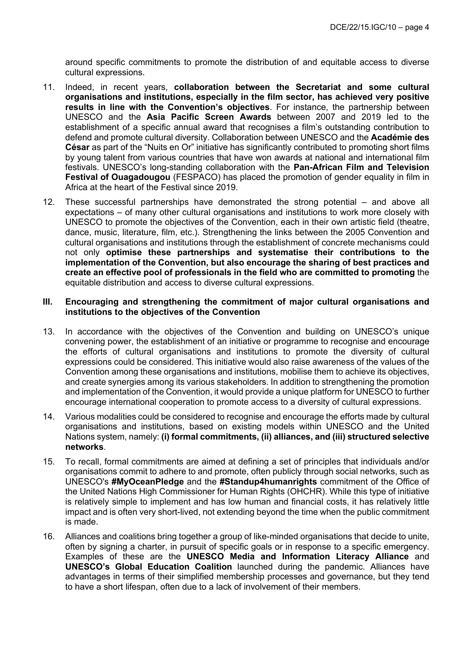around specific commitments to promote the distribution of and equitable access to diverse cultural expressions.

- 11. Indeed, in recent years, **collaboration between the Secretariat and some cultural organisations and institutions, especially in the film sector, has achieved very positive results in line with the Convention's objectives**. For instance, the partnership between UNESCO and the **Asia Pacific Screen Awards** between 2007 and 2019 led to the establishment of a specific annual award that recognises a film's outstanding contribution to defend and promote cultural diversity. Collaboration between UNESCO and the **Académie des César** as part of the "Nuits en Or" initiative has significantly contributed to promoting short films by young talent from various countries that have won awards at national and international film festivals. UNESCO's long-standing collaboration with the **Pan-African Film and Television Festival of Ouagadougou** (FESPACO) has placed the promotion of gender equality in film in Africa at the heart of the Festival since 2019.
- 12. These successful partnerships have demonstrated the strong potential and above all expectations – of many other cultural organisations and institutions to work more closely with UNESCO to promote the objectives of the Convention, each in their own artistic field (theatre, dance, music, literature, film, etc.). Strengthening the links between the 2005 Convention and cultural organisations and institutions through the establishment of concrete mechanisms could not only **optimise these partnerships and systematise their contributions to the implementation of the Convention, but also encourage the sharing of best practices and create an effective pool of professionals in the field who are committed to promoting** the equitable distribution and access to diverse cultural expressions.

#### **III. Encouraging and strengthening the commitment of major cultural organisations and institutions to the objectives of the Convention**

- 13. In accordance with the objectives of the Convention and building on UNESCO's unique convening power, the establishment of an initiative or programme to recognise and encourage the efforts of cultural organisations and institutions to promote the diversity of cultural expressions could be considered. This initiative would also raise awareness of the values of the Convention among these organisations and institutions, mobilise them to achieve its objectives, and create synergies among its various stakeholders. In addition to strengthening the promotion and implementation of the Convention, it would provide a unique platform for UNESCO to further encourage international cooperation to promote access to a diversity of cultural expressions.
- 14. Various modalities could be considered to recognise and encourage the efforts made by cultural organisations and institutions, based on existing models within UNESCO and the United Nations system, namely: **(i) formal commitments, (ii) alliances, and (iii) structured selective networks**.
- 15. To recall, formal commitments are aimed at defining a set of principles that individuals and/or organisations commit to adhere to and promote, often publicly through social networks, such as UNESCO's **#MyOceanPledge** and the **#Standup4humanrights** commitment of the Office of the United Nations High Commissioner for Human Rights (OHCHR). While this type of initiative is relatively simple to implement and has low human and financial costs, it has relatively little impact and is often very short-lived, not extending beyond the time when the public commitment is made.
- 16. Alliances and coalitions bring together a group of like-minded organisations that decide to unite, often by signing a charter, in pursuit of specific goals or in response to a specific emergency. Examples of these are the **UNESCO Media and Information Literacy Alliance** and **UNESCO's Global Education Coalition** launched during the pandemic. Alliances have advantages in terms of their simplified membership processes and governance, but they tend to have a short lifespan, often due to a lack of involvement of their members.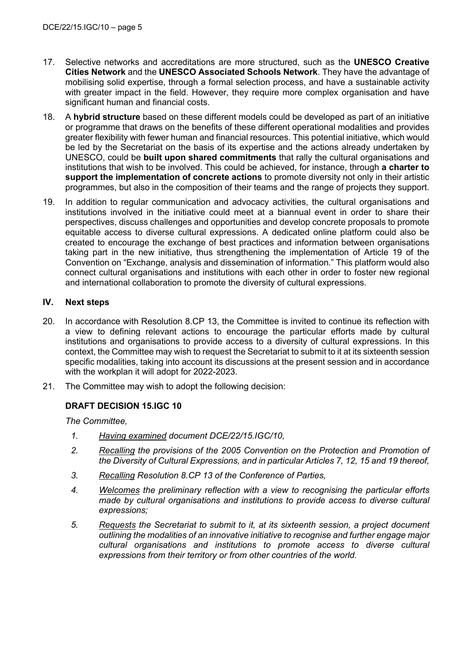- 17. Selective networks and accreditations are more structured, such as the **UNESCO Creative Cities Network** and the **UNESCO Associated Schools Network**. They have the advantage of mobilising solid expertise, through a formal selection process, and have a sustainable activity with greater impact in the field. However, they require more complex organisation and have significant human and financial costs.
- 18. A **hybrid structure** based on these different models could be developed as part of an initiative or programme that draws on the benefits of these different operational modalities and provides greater flexibility with fewer human and financial resources. This potential initiative, which would be led by the Secretariat on the basis of its expertise and the actions already undertaken by UNESCO, could be **built upon shared commitments** that rally the cultural organisations and institutions that wish to be involved. This could be achieved, for instance, through **a charter to support the implementation of concrete actions** to promote diversity not only in their artistic programmes, but also in the composition of their teams and the range of projects they support.
- 19. In addition to regular communication and advocacy activities, the cultural organisations and institutions involved in the initiative could meet at a biannual event in order to share their perspectives, discuss challenges and opportunities and develop concrete proposals to promote equitable access to diverse cultural expressions. A dedicated online platform could also be created to encourage the exchange of best practices and information between organisations taking part in the new initiative, thus strengthening the implementation of Article 19 of the Convention on "Exchange, analysis and dissemination of information." This platform would also connect cultural organisations and institutions with each other in order to foster new regional and international collaboration to promote the diversity of cultural expressions.

### **IV. Next steps**

- 20. In accordance with Resolution 8.CP 13, the Committee is invited to continue its reflection with a view to defining relevant actions to encourage the particular efforts made by cultural institutions and organisations to provide access to a diversity of cultural expressions. In this context, the Committee may wish to request the Secretariat to submit to it at its sixteenth session specific modalities, taking into account its discussions at the present session and in accordance with the workplan it will adopt for 2022-2023.
- 21. The Committee may wish to adopt the following decision:

### **DRAFT DECISION 15.IGC 10**

*The Committee,*

- *1. Having examined document DCE/22/15.IGC/10,*
- *2. Recalling the provisions of the 2005 Convention on the Protection and Promotion of the Diversity of Cultural Expressions, and in particular Articles 7, 12, 15 and 19 thereof,*
- *3. Recalling Resolution 8.CP 13 of the Conference of Parties,*
- *4. Welcomes the preliminary reflection with a view to recognising the particular efforts made by cultural organisations and institutions to provide access to diverse cultural expressions;*
- *5. Requests the Secretariat to submit to it, at its sixteenth session, a project document outlining the modalities of an innovative initiative to recognise and further engage major cultural organisations and institutions to promote access to diverse cultural expressions from their territory or from other countries of the world.*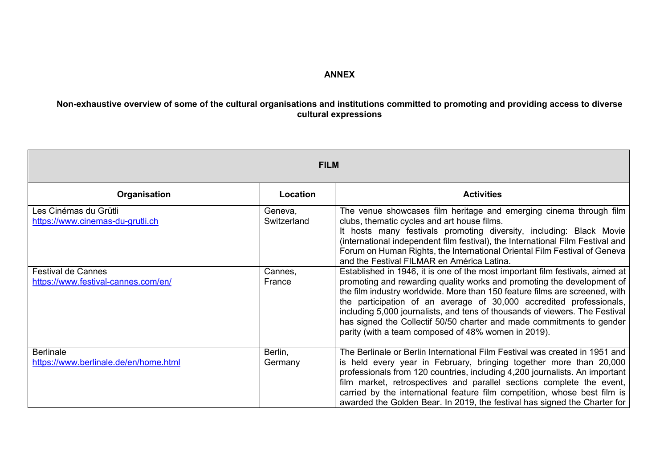## **ANNEX**

## **Non-exhaustive overview of some of the cultural organisations and institutions committed to promoting and providing access to diverse cultural expressions**

| <b>FILM</b>                                                      |                        |                                                                                                                                                                                                                                                                                                                                                                                                                                                                                                                              |
|------------------------------------------------------------------|------------------------|------------------------------------------------------------------------------------------------------------------------------------------------------------------------------------------------------------------------------------------------------------------------------------------------------------------------------------------------------------------------------------------------------------------------------------------------------------------------------------------------------------------------------|
| Organisation                                                     | Location               | <b>Activities</b>                                                                                                                                                                                                                                                                                                                                                                                                                                                                                                            |
| Les Cinémas du Grütli<br>https://www.cinemas-du-grutli.ch        | Geneva,<br>Switzerland | The venue showcases film heritage and emerging cinema through film<br>clubs, thematic cycles and art house films.<br>It hosts many festivals promoting diversity, including: Black Movie<br>(international independent film festival), the International Film Festival and<br>Forum on Human Rights, the International Oriental Film Festival of Geneva<br>and the Festival FILMAR en América Latina.                                                                                                                        |
| <b>Festival de Cannes</b><br>https://www.festival-cannes.com/en/ | Cannes,<br>France      | Established in 1946, it is one of the most important film festivals, aimed at<br>promoting and rewarding quality works and promoting the development of<br>the film industry worldwide. More than 150 feature films are screened, with<br>the participation of an average of 30,000 accredited professionals,<br>including 5,000 journalists, and tens of thousands of viewers. The Festival<br>has signed the Collectif 50/50 charter and made commitments to gender<br>parity (with a team composed of 48% women in 2019). |
| <b>Berlinale</b><br>https://www.berlinale.de/en/home.html        | Berlin,<br>Germany     | The Berlinale or Berlin International Film Festival was created in 1951 and<br>is held every year in February, bringing together more than 20,000<br>professionals from 120 countries, including 4,200 journalists. An important<br>film market, retrospectives and parallel sections complete the event,<br>carried by the international feature film competition, whose best film is<br>awarded the Golden Bear. In 2019, the festival has signed the Charter for                                                          |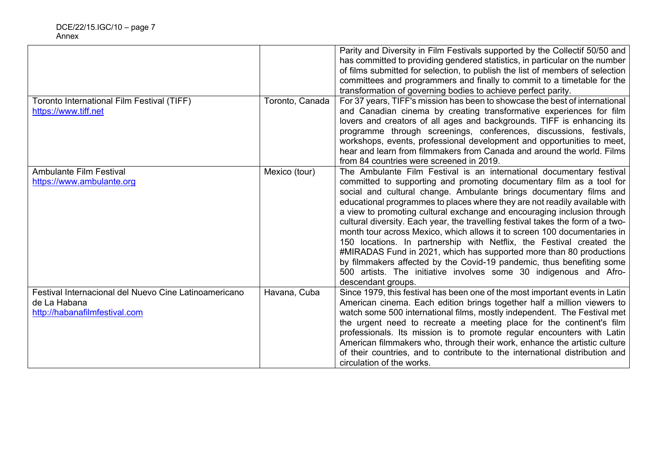| Toronto International Film Festival (TIFF)<br>https://www.tiff.net                                     | Toronto, Canada | Parity and Diversity in Film Festivals supported by the Collectif 50/50 and<br>has committed to providing gendered statistics, in particular on the number<br>of films submitted for selection, to publish the list of members of selection<br>committees and programmers and finally to commit to a timetable for the<br>transformation of governing bodies to achieve perfect parity.<br>For 37 years, TIFF's mission has been to showcase the best of international<br>and Canadian cinema by creating transformative experiences for film<br>lovers and creators of all ages and backgrounds. TIFF is enhancing its<br>programme through screenings, conferences, discussions, festivals,<br>workshops, events, professional development and opportunities to meet,<br>hear and learn from filmmakers from Canada and around the world. Films<br>from 84 countries were screened in 2019. |
|--------------------------------------------------------------------------------------------------------|-----------------|-----------------------------------------------------------------------------------------------------------------------------------------------------------------------------------------------------------------------------------------------------------------------------------------------------------------------------------------------------------------------------------------------------------------------------------------------------------------------------------------------------------------------------------------------------------------------------------------------------------------------------------------------------------------------------------------------------------------------------------------------------------------------------------------------------------------------------------------------------------------------------------------------|
| <b>Ambulante Film Festival</b><br>https://www.ambulante.org                                            | Mexico (tour)   | The Ambulante Film Festival is an international documentary festival<br>committed to supporting and promoting documentary film as a tool for<br>social and cultural change. Ambulante brings documentary films and<br>educational programmes to places where they are not readily available with<br>a view to promoting cultural exchange and encouraging inclusion through<br>cultural diversity. Each year, the travelling festival takes the form of a two-<br>month tour across Mexico, which allows it to screen 100 documentaries in<br>150 locations. In partnership with Netflix, the Festival created the<br>#MIRADAS Fund in 2021, which has supported more than 80 productions<br>by filmmakers affected by the Covid-19 pandemic, thus benefiting some<br>500 artists. The initiative involves some 30 indigenous and Afro-<br>descendant groups.                                 |
| Festival Internacional del Nuevo Cine Latinoamericano<br>de La Habana<br>http://habanafilmfestival.com | Havana, Cuba    | Since 1979, this festival has been one of the most important events in Latin<br>American cinema. Each edition brings together half a million viewers to<br>watch some 500 international films, mostly independent. The Festival met<br>the urgent need to recreate a meeting place for the continent's film<br>professionals. Its mission is to promote regular encounters with Latin<br>American filmmakers who, through their work, enhance the artistic culture<br>of their countries, and to contribute to the international distribution and<br>circulation of the works.                                                                                                                                                                                                                                                                                                                |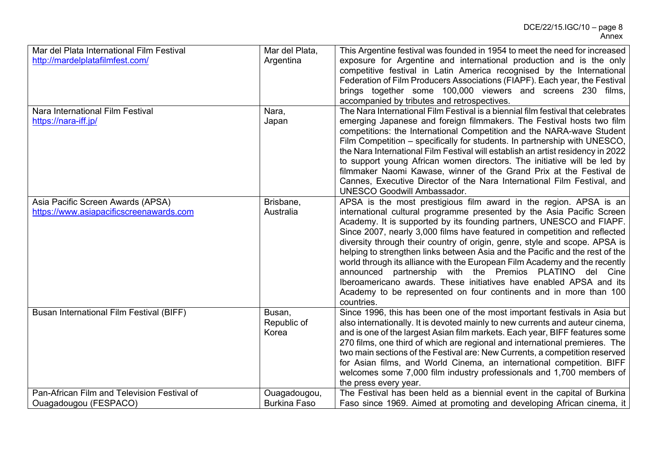| Mar del Plata International Film Festival   | Mar del Plata,      | This Argentine festival was founded in 1954 to meet the need for increased       |
|---------------------------------------------|---------------------|----------------------------------------------------------------------------------|
| http://mardelplatafilmfest.com/             | Argentina           | exposure for Argentine and international production and is the only              |
|                                             |                     | competitive festival in Latin America recognised by the International            |
|                                             |                     | Federation of Film Producers Associations (FIAPF). Each year, the Festival       |
|                                             |                     | brings together some 100,000 viewers and screens 230 films,                      |
|                                             |                     | accompanied by tributes and retrospectives.                                      |
| Nara International Film Festival            | Nara,               | The Nara International Film Festival is a biennial film festival that celebrates |
| https://nara-iff.jp/                        | Japan               | emerging Japanese and foreign filmmakers. The Festival hosts two film            |
|                                             |                     |                                                                                  |
|                                             |                     | competitions: the International Competition and the NARA-wave Student            |
|                                             |                     | Film Competition – specifically for students. In partnership with UNESCO,        |
|                                             |                     | the Nara International Film Festival will establish an artist residency in 2022  |
|                                             |                     | to support young African women directors. The initiative will be led by          |
|                                             |                     | filmmaker Naomi Kawase, winner of the Grand Prix at the Festival de              |
|                                             |                     | Cannes, Executive Director of the Nara International Film Festival, and          |
|                                             |                     | <b>UNESCO Goodwill Ambassador.</b>                                               |
| Asia Pacific Screen Awards (APSA)           | Brisbane,           | APSA is the most prestigious film award in the region. APSA is an                |
| https://www.asiapacificscreenawards.com     | Australia           | international cultural programme presented by the Asia Pacific Screen            |
|                                             |                     | Academy. It is supported by its founding partners, UNESCO and FIAPF.             |
|                                             |                     | Since 2007, nearly 3,000 films have featured in competition and reflected        |
|                                             |                     | diversity through their country of origin, genre, style and scope. APSA is       |
|                                             |                     | helping to strengthen links between Asia and the Pacific and the rest of the     |
|                                             |                     | world through its alliance with the European Film Academy and the recently       |
|                                             |                     | announced partnership with the Premios PLATINO del Cine                          |
|                                             |                     | Iberoamericano awards. These initiatives have enabled APSA and its               |
|                                             |                     | Academy to be represented on four continents and in more than 100                |
|                                             |                     | countries.                                                                       |
|                                             |                     | Since 1996, this has been one of the most important festivals in Asia but        |
| Busan International Film Festival (BIFF)    | Busan,              |                                                                                  |
|                                             | Republic of         | also internationally. It is devoted mainly to new currents and auteur cinema,    |
|                                             | Korea               | and is one of the largest Asian film markets. Each year, BIFF features some      |
|                                             |                     | 270 films, one third of which are regional and international premieres. The      |
|                                             |                     | two main sections of the Festival are: New Currents, a competition reserved      |
|                                             |                     | for Asian films, and World Cinema, an international competition. BIFF            |
|                                             |                     | welcomes some 7,000 film industry professionals and 1,700 members of             |
|                                             |                     | the press every year.                                                            |
| Pan-African Film and Television Festival of | Ouagadougou,        | The Festival has been held as a biennial event in the capital of Burkina         |
| Ouagadougou (FESPACO)                       | <b>Burkina Faso</b> | Faso since 1969. Aimed at promoting and developing African cinema, it            |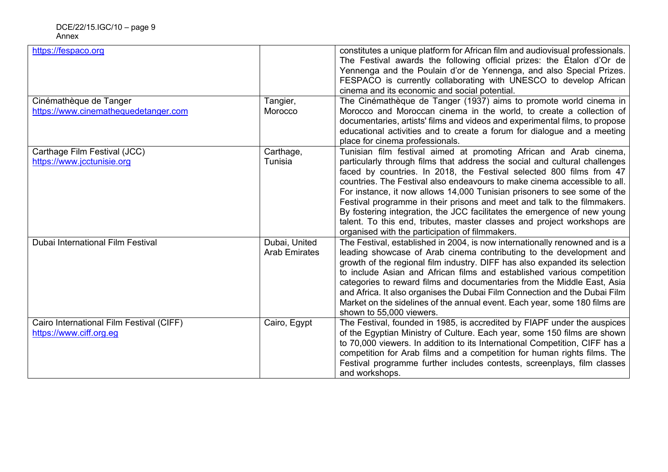| https://fespaco.org<br>Cinémathèque de Tanger                       | Tangier,                              | constitutes a unique platform for African film and audiovisual professionals.<br>The Festival awards the following official prizes: the Etalon d'Or de<br>Yennenga and the Poulain d'or de Yennenga, and also Special Prizes.<br>FESPACO is currently collaborating with UNESCO to develop African<br>cinema and its economic and social potential.<br>The Cinémathèque de Tanger (1937) aims to promote world cinema in                                                                                                                                                                                                                                                |
|---------------------------------------------------------------------|---------------------------------------|-------------------------------------------------------------------------------------------------------------------------------------------------------------------------------------------------------------------------------------------------------------------------------------------------------------------------------------------------------------------------------------------------------------------------------------------------------------------------------------------------------------------------------------------------------------------------------------------------------------------------------------------------------------------------|
| https://www.cinemathequedetanger.com                                | Morocco                               | Morocco and Moroccan cinema in the world, to create a collection of<br>documentaries, artists' films and videos and experimental films, to propose<br>educational activities and to create a forum for dialogue and a meeting<br>place for cinema professionals.                                                                                                                                                                                                                                                                                                                                                                                                        |
| Carthage Film Festival (JCC)<br>https://www.jcctunisie.org          | Carthage,<br>Tunisia                  | Tunisian film festival aimed at promoting African and Arab cinema,<br>particularly through films that address the social and cultural challenges<br>faced by countries. In 2018, the Festival selected 800 films from 47<br>countries. The Festival also endeavours to make cinema accessible to all.<br>For instance, it now allows 14,000 Tunisian prisoners to see some of the<br>Festival programme in their prisons and meet and talk to the filmmakers.<br>By fostering integration, the JCC facilitates the emergence of new young<br>talent. To this end, tributes, master classes and project workshops are<br>organised with the participation of filmmakers. |
| Dubai International Film Festival                                   | Dubai, United<br><b>Arab Emirates</b> | The Festival, established in 2004, is now internationally renowned and is a<br>leading showcase of Arab cinema contributing to the development and<br>growth of the regional film industry. DIFF has also expanded its selection<br>to include Asian and African films and established various competition<br>categories to reward films and documentaries from the Middle East, Asia<br>and Africa. It also organises the Dubai Film Connection and the Dubai Film<br>Market on the sidelines of the annual event. Each year, some 180 films are<br>shown to 55,000 viewers.                                                                                           |
| Cairo International Film Festival (CIFF)<br>https://www.ciff.org.eg | Cairo, Egypt                          | The Festival, founded in 1985, is accredited by FIAPF under the auspices<br>of the Egyptian Ministry of Culture. Each year, some 150 films are shown<br>to 70,000 viewers. In addition to its International Competition, CIFF has a<br>competition for Arab films and a competition for human rights films. The<br>Festival programme further includes contests, screenplays, film classes<br>and workshops.                                                                                                                                                                                                                                                            |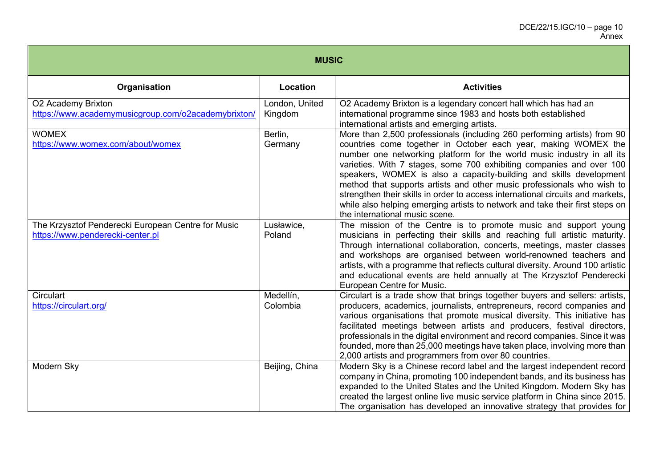| <b>MUSIC</b>                                                                           |                           |                                                                                                                                                                                                                                                                                                                                                                                                                                                                                                                                                                                                                                                  |  |
|----------------------------------------------------------------------------------------|---------------------------|--------------------------------------------------------------------------------------------------------------------------------------------------------------------------------------------------------------------------------------------------------------------------------------------------------------------------------------------------------------------------------------------------------------------------------------------------------------------------------------------------------------------------------------------------------------------------------------------------------------------------------------------------|--|
| Organisation                                                                           | <b>Location</b>           | <b>Activities</b>                                                                                                                                                                                                                                                                                                                                                                                                                                                                                                                                                                                                                                |  |
| O2 Academy Brixton<br>https://www.academymusicgroup.com/o2academybrixton/              | London, United<br>Kingdom | O2 Academy Brixton is a legendary concert hall which has had an<br>international programme since 1983 and hosts both established<br>international artists and emerging artists.                                                                                                                                                                                                                                                                                                                                                                                                                                                                  |  |
| <b>WOMEX</b><br>https://www.womex.com/about/womex                                      | Berlin,<br>Germany        | More than 2,500 professionals (including 260 performing artists) from 90<br>countries come together in October each year, making WOMEX the<br>number one networking platform for the world music industry in all its<br>varieties. With 7 stages, some 700 exhibiting companies and over 100<br>speakers, WOMEX is also a capacity-building and skills development<br>method that supports artists and other music professionals who wish to<br>strengthen their skills in order to access international circuits and markets,<br>while also helping emerging artists to network and take their first steps on<br>the international music scene. |  |
| The Krzysztof Penderecki European Centre for Music<br>https://www.penderecki-center.pl | Lusławice,<br>Poland      | The mission of the Centre is to promote music and support young<br>musicians in perfecting their skills and reaching full artistic maturity.<br>Through international collaboration, concerts, meetings, master classes<br>and workshops are organised between world-renowned teachers and<br>artists, with a programme that reflects cultural diversity. Around 100 artistic<br>and educational events are held annually at The Krzysztof Penderecki<br>European Centre for Music.                                                                                                                                                              |  |
| Circulart<br>https://circulart.org/                                                    | Medellín,<br>Colombia     | Circulart is a trade show that brings together buyers and sellers: artists,<br>producers, academics, journalists, entrepreneurs, record companies and<br>various organisations that promote musical diversity. This initiative has<br>facilitated meetings between artists and producers, festival directors,<br>professionals in the digital environment and record companies. Since it was<br>founded, more than 25,000 meetings have taken place, involving more than<br>2,000 artists and programmers from over 80 countries.                                                                                                                |  |
| Modern Sky                                                                             | Beijing, China            | Modern Sky is a Chinese record label and the largest independent record<br>company in China, promoting 100 independent bands, and its business has<br>expanded to the United States and the United Kingdom. Modern Sky has<br>created the largest online live music service platform in China since 2015.<br>The organisation has developed an innovative strategy that provides for                                                                                                                                                                                                                                                             |  |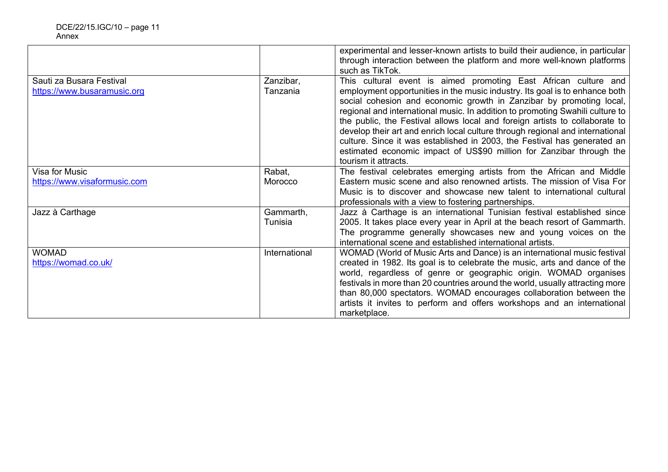|                              |               | experimental and lesser-known artists to build their audience, in particular<br>through interaction between the platform and more well-known platforms<br>such as TikTok. |
|------------------------------|---------------|---------------------------------------------------------------------------------------------------------------------------------------------------------------------------|
|                              |               |                                                                                                                                                                           |
| Sauti za Busara Festival     | Zanzibar,     | This cultural event is aimed promoting East African culture and                                                                                                           |
| https://www.busaramusic.org  | Tanzania      | employment opportunities in the music industry. Its goal is to enhance both                                                                                               |
|                              |               | social cohesion and economic growth in Zanzibar by promoting local,                                                                                                       |
|                              |               | regional and international music. In addition to promoting Swahili culture to                                                                                             |
|                              |               | the public, the Festival allows local and foreign artists to collaborate to                                                                                               |
|                              |               | develop their art and enrich local culture through regional and international                                                                                             |
|                              |               | culture. Since it was established in 2003, the Festival has generated an                                                                                                  |
|                              |               | estimated economic impact of US\$90 million for Zanzibar through the                                                                                                      |
|                              |               | tourism it attracts.                                                                                                                                                      |
| Visa for Music               | Rabat,        | The festival celebrates emerging artists from the African and Middle                                                                                                      |
| https://www.visaformusic.com | Morocco       | Eastern music scene and also renowned artists. The mission of Visa For                                                                                                    |
|                              |               | Music is to discover and showcase new talent to international cultural                                                                                                    |
|                              |               | professionals with a view to fostering partnerships.                                                                                                                      |
| Jazz à Carthage              | Gammarth,     | Jazz à Carthage is an international Tunisian festival established since                                                                                                   |
|                              | Tunisia       | 2005. It takes place every year in April at the beach resort of Gammarth.                                                                                                 |
|                              |               | The programme generally showcases new and young voices on the                                                                                                             |
|                              |               | international scene and established international artists.                                                                                                                |
| <b>WOMAD</b>                 | International | WOMAD (World of Music Arts and Dance) is an international music festival                                                                                                  |
| https://womad.co.uk/         |               | created in 1982. Its goal is to celebrate the music, arts and dance of the                                                                                                |
|                              |               | world, regardless of genre or geographic origin. WOMAD organises                                                                                                          |
|                              |               | festivals in more than 20 countries around the world, usually attracting more                                                                                             |
|                              |               | than 80,000 spectators. WOMAD encourages collaboration between the                                                                                                        |
|                              |               | artists it invites to perform and offers workshops and an international                                                                                                   |
|                              |               | marketplace.                                                                                                                                                              |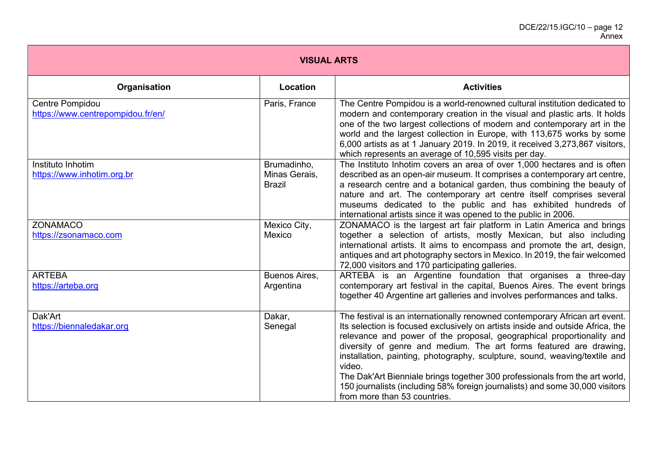| <b>VISUAL ARTS</b>                                   |                                               |                                                                                                                                                                                                                                                                                                                                                                                                                                                                                                                                                                                                     |
|------------------------------------------------------|-----------------------------------------------|-----------------------------------------------------------------------------------------------------------------------------------------------------------------------------------------------------------------------------------------------------------------------------------------------------------------------------------------------------------------------------------------------------------------------------------------------------------------------------------------------------------------------------------------------------------------------------------------------------|
| Organisation                                         | Location                                      | <b>Activities</b>                                                                                                                                                                                                                                                                                                                                                                                                                                                                                                                                                                                   |
| Centre Pompidou<br>https://www.centrepompidou.fr/en/ | Paris, France                                 | The Centre Pompidou is a world-renowned cultural institution dedicated to<br>modern and contemporary creation in the visual and plastic arts. It holds<br>one of the two largest collections of modern and contemporary art in the<br>world and the largest collection in Europe, with 113,675 works by some<br>6,000 artists as at 1 January 2019. In 2019, it received 3,273,867 visitors,<br>which represents an average of 10,595 visits per day.                                                                                                                                               |
| Instituto Inhotim<br>https://www.inhotim.org.br      | Brumadinho,<br>Minas Gerais,<br><b>Brazil</b> | The Instituto Inhotim covers an area of over 1,000 hectares and is often<br>described as an open-air museum. It comprises a contemporary art centre,<br>a research centre and a botanical garden, thus combining the beauty of<br>nature and art. The contemporary art centre itself comprises several<br>museums dedicated to the public and has exhibited hundreds of<br>international artists since it was opened to the public in 2006.                                                                                                                                                         |
| <b>ZONAMACO</b><br>https://zsonamaco.com             | Mexico City,<br>Mexico                        | ZONAMACO is the largest art fair platform in Latin America and brings<br>together a selection of artists, mostly Mexican, but also including<br>international artists. It aims to encompass and promote the art, design,<br>antiques and art photography sectors in Mexico. In 2019, the fair welcomed<br>72,000 visitors and 170 participating galleries.                                                                                                                                                                                                                                          |
| <b>ARTEBA</b><br>https://arteba.org                  | Buenos Aires,<br>Argentina                    | ARTEBA is an Argentine foundation that organises a three-day<br>contemporary art festival in the capital, Buenos Aires. The event brings<br>together 40 Argentine art galleries and involves performances and talks.                                                                                                                                                                                                                                                                                                                                                                                |
| Dak'Art<br>https://biennaledakar.org                 | Dakar,<br>Senegal                             | The festival is an internationally renowned contemporary African art event.<br>Its selection is focused exclusively on artists inside and outside Africa, the<br>relevance and power of the proposal, geographical proportionality and<br>diversity of genre and medium. The art forms featured are drawing,<br>installation, painting, photography, sculpture, sound, weaving/textile and<br>video.<br>The Dak'Art Bienniale brings together 300 professionals from the art world,<br>150 journalists (including 58% foreign journalists) and some 30,000 visitors<br>from more than 53 countries. |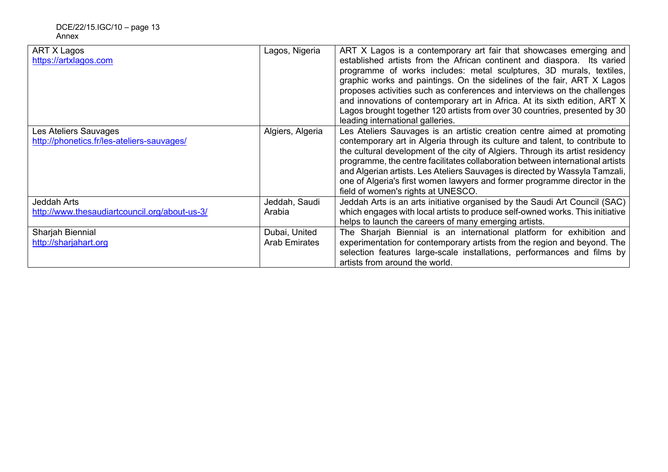| ART X Lagos<br>https://artxlagos.com                                | Lagos, Nigeria                        | ART X Lagos is a contemporary art fair that showcases emerging and<br>established artists from the African continent and diaspora. Its varied<br>programme of works includes: metal sculptures, 3D murals, textiles,<br>graphic works and paintings. On the sidelines of the fair, ART X Lagos<br>proposes activities such as conferences and interviews on the challenges<br>and innovations of contemporary art in Africa. At its sixth edition, ART X<br>Lagos brought together 120 artists from over 30 countries, presented by 30<br>leading international galleries. |
|---------------------------------------------------------------------|---------------------------------------|----------------------------------------------------------------------------------------------------------------------------------------------------------------------------------------------------------------------------------------------------------------------------------------------------------------------------------------------------------------------------------------------------------------------------------------------------------------------------------------------------------------------------------------------------------------------------|
| Les Ateliers Sauvages<br>http://phonetics.fr/les-ateliers-sauvages/ | Algiers, Algeria                      | Les Ateliers Sauvages is an artistic creation centre aimed at promoting<br>contemporary art in Algeria through its culture and talent, to contribute to<br>the cultural development of the city of Algiers. Through its artist residency<br>programme, the centre facilitates collaboration between international artists<br>and Algerian artists. Les Ateliers Sauvages is directed by Wassyla Tamzali,<br>one of Algeria's first women lawyers and former programme director in the<br>field of women's rights at UNESCO.                                                |
| Jeddah Arts<br>http://www.thesaudiartcouncil.org/about-us-3/        | Jeddah, Saudi<br>Arabia               | Jeddah Arts is an arts initiative organised by the Saudi Art Council (SAC)<br>which engages with local artists to produce self-owned works. This initiative<br>helps to launch the careers of many emerging artists.                                                                                                                                                                                                                                                                                                                                                       |
| Sharjah Biennial<br>http://sharjahart.org                           | Dubai, United<br><b>Arab Emirates</b> | The Sharjah Biennial is an international platform for exhibition and<br>experimentation for contemporary artists from the region and beyond. The<br>selection features large-scale installations, performances and films by<br>artists from around the world.                                                                                                                                                                                                                                                                                                              |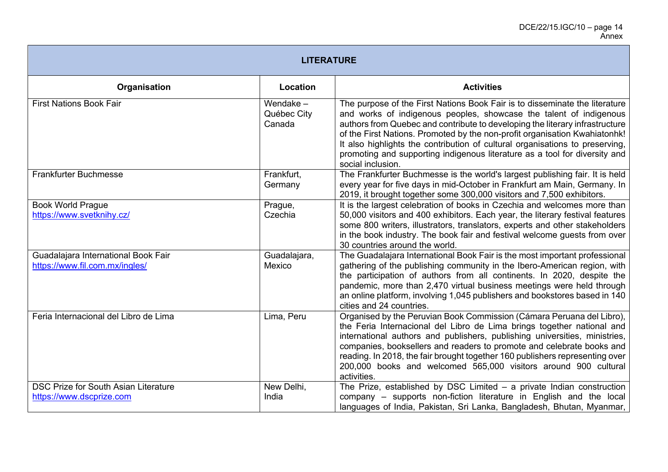| <b>LITERATURE</b>                                                       |                                      |                                                                                                                                                                                                                                                                                                                                                                                                                                                                                                    |  |
|-------------------------------------------------------------------------|--------------------------------------|----------------------------------------------------------------------------------------------------------------------------------------------------------------------------------------------------------------------------------------------------------------------------------------------------------------------------------------------------------------------------------------------------------------------------------------------------------------------------------------------------|--|
| Organisation                                                            | Location                             | <b>Activities</b>                                                                                                                                                                                                                                                                                                                                                                                                                                                                                  |  |
| <b>First Nations Book Fair</b>                                          | Wendake $-$<br>Québec City<br>Canada | The purpose of the First Nations Book Fair is to disseminate the literature<br>and works of indigenous peoples, showcase the talent of indigenous<br>authors from Quebec and contribute to developing the literary infrastructure<br>of the First Nations. Promoted by the non-profit organisation Kwahiatonhk!<br>It also highlights the contribution of cultural organisations to preserving,<br>promoting and supporting indigenous literature as a tool for diversity and<br>social inclusion. |  |
| <b>Frankfurter Buchmesse</b>                                            | Frankfurt,<br>Germany                | The Frankfurter Buchmesse is the world's largest publishing fair. It is held<br>every year for five days in mid-October in Frankfurt am Main, Germany. In<br>2019, it brought together some 300,000 visitors and 7,500 exhibitors.                                                                                                                                                                                                                                                                 |  |
| <b>Book World Prague</b><br>https://www.svetknihy.cz/                   | Prague,<br>Czechia                   | It is the largest celebration of books in Czechia and welcomes more than<br>50,000 visitors and 400 exhibitors. Each year, the literary festival features<br>some 800 writers, illustrators, translators, experts and other stakeholders<br>in the book industry. The book fair and festival welcome guests from over<br>30 countries around the world.                                                                                                                                            |  |
| Guadalajara International Book Fair<br>https://www.fil.com.mx/ingles/   | Guadalajara,<br>Mexico               | The Guadalajara International Book Fair is the most important professional<br>gathering of the publishing community in the Ibero-American region, with<br>the participation of authors from all continents. In 2020, despite the<br>pandemic, more than 2,470 virtual business meetings were held through<br>an online platform, involving 1,045 publishers and bookstores based in 140<br>cities and 24 countries.                                                                                |  |
| Feria Internacional del Libro de Lima                                   | Lima, Peru                           | Organised by the Peruvian Book Commission (Cámara Peruana del Libro),<br>the Feria Internacional del Libro de Lima brings together national and<br>international authors and publishers, publishing universities, ministries,<br>companies, booksellers and readers to promote and celebrate books and<br>reading. In 2018, the fair brought together 160 publishers representing over<br>200,000 books and welcomed 565,000 visitors around 900 cultural<br>activities.                           |  |
| <b>DSC Prize for South Asian Literature</b><br>https://www.dscprize.com | New Delhi,<br>India                  | The Prize, established by DSC Limited $-$ a private Indian construction<br>company - supports non-fiction literature in English and the local<br>languages of India, Pakistan, Sri Lanka, Bangladesh, Bhutan, Myanmar,                                                                                                                                                                                                                                                                             |  |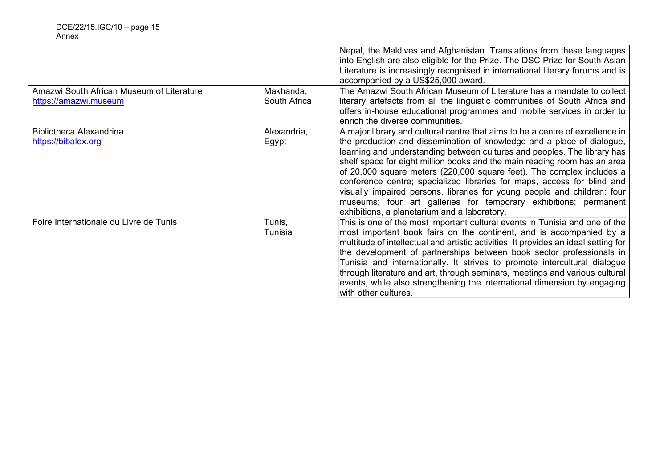| Amazwi South African Museum of Literature<br>https://amazwi.museum | Makhanda,<br>South Africa | Nepal, the Maldives and Afghanistan. Translations from these languages<br>into English are also eligible for the Prize. The DSC Prize for South Asian<br>Literature is increasingly recognised in international literary forums and is<br>accompanied by a US\$25,000 award.<br>The Amazwi South African Museum of Literature has a mandate to collect<br>literary artefacts from all the linguistic communities of South Africa and<br>offers in-house educational programmes and mobile services in order to                                                                                                                                                                                          |
|--------------------------------------------------------------------|---------------------------|---------------------------------------------------------------------------------------------------------------------------------------------------------------------------------------------------------------------------------------------------------------------------------------------------------------------------------------------------------------------------------------------------------------------------------------------------------------------------------------------------------------------------------------------------------------------------------------------------------------------------------------------------------------------------------------------------------|
| Bibliotheca Alexandrina<br>https://bibalex.org                     | Alexandria,<br>Egypt      | enrich the diverse communities.<br>A major library and cultural centre that aims to be a centre of excellence in<br>the production and dissemination of knowledge and a place of dialogue,<br>learning and understanding between cultures and peoples. The library has<br>shelf space for eight million books and the main reading room has an area<br>of 20,000 square meters (220,000 square feet). The complex includes a<br>conference centre; specialized libraries for maps, access for blind and<br>visually impaired persons, libraries for young people and children; four<br>museums; four art galleries for temporary exhibitions; permanent<br>exhibitions, a planetarium and a laboratory. |
| Foire Internationale du Livre de Tunis                             | Tunis,<br>Tunisia         | This is one of the most important cultural events in Tunisia and one of the<br>most important book fairs on the continent, and is accompanied by a<br>multitude of intellectual and artistic activities. It provides an ideal setting for<br>the development of partnerships between book sector professionals in<br>Tunisia and internationally. It strives to promote intercultural dialogue<br>through literature and art, through seminars, meetings and various cultural<br>events, while also strengthening the international dimension by engaging<br>with other cultures.                                                                                                                       |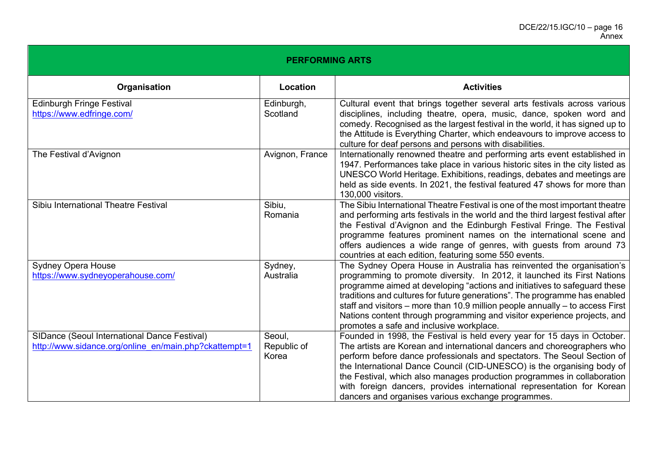| <b>PERFORMING ARTS</b>                                                                                |                                |                                                                                                                                                                                                                                                                                                                                                                                                                                                                                                                           |  |
|-------------------------------------------------------------------------------------------------------|--------------------------------|---------------------------------------------------------------------------------------------------------------------------------------------------------------------------------------------------------------------------------------------------------------------------------------------------------------------------------------------------------------------------------------------------------------------------------------------------------------------------------------------------------------------------|--|
| Organisation                                                                                          | Location                       | <b>Activities</b>                                                                                                                                                                                                                                                                                                                                                                                                                                                                                                         |  |
| <b>Edinburgh Fringe Festival</b><br>https://www.edfringe.com/                                         | Edinburgh,<br>Scotland         | Cultural event that brings together several arts festivals across various<br>disciplines, including theatre, opera, music, dance, spoken word and<br>comedy. Recognised as the largest festival in the world, it has signed up to<br>the Attitude is Everything Charter, which endeavours to improve access to<br>culture for deaf persons and persons with disabilities.                                                                                                                                                 |  |
| The Festival d'Avignon                                                                                | Avignon, France                | Internationally renowned theatre and performing arts event established in<br>1947. Performances take place in various historic sites in the city listed as<br>UNESCO World Heritage. Exhibitions, readings, debates and meetings are<br>held as side events. In 2021, the festival featured 47 shows for more than<br>130,000 visitors.                                                                                                                                                                                   |  |
| Sibiu International Theatre Festival                                                                  | Sibiu,<br>Romania              | The Sibiu International Theatre Festival is one of the most important theatre<br>and performing arts festivals in the world and the third largest festival after<br>the Festival d'Avignon and the Edinburgh Festival Fringe. The Festival<br>programme features prominent names on the international scene and<br>offers audiences a wide range of genres, with guests from around 73<br>countries at each edition, featuring some 550 events.                                                                           |  |
| <b>Sydney Opera House</b><br>https://www.sydneyoperahouse.com/                                        | Sydney,<br>Australia           | The Sydney Opera House in Australia has reinvented the organisation's<br>programming to promote diversity. In 2012, it launched its First Nations<br>programme aimed at developing "actions and initiatives to safeguard these<br>traditions and cultures for future generations". The programme has enabled<br>staff and visitors $-$ more than 10.9 million people annually $-$ to access First<br>Nations content through programming and visitor experience projects, and<br>promotes a safe and inclusive workplace. |  |
| SIDance (Seoul International Dance Festival)<br>http://www.sidance.org/online en/main.php?ckattempt=1 | Seoul,<br>Republic of<br>Korea | Founded in 1998, the Festival is held every year for 15 days in October.<br>The artists are Korean and international dancers and choreographers who<br>perform before dance professionals and spectators. The Seoul Section of<br>the International Dance Council (CID-UNESCO) is the organising body of<br>the Festival, which also manages production programmes in collaboration<br>with foreign dancers, provides international representation for Korean<br>dancers and organises various exchange programmes.       |  |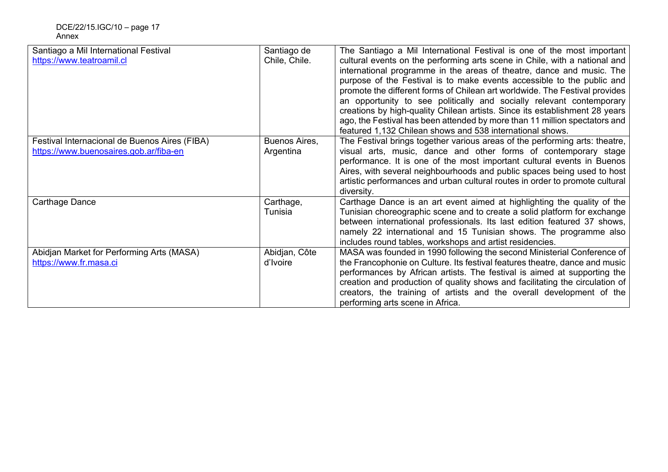| Santiago a Mil International Festival         | Santiago de   | The Santiago a Mil International Festival is one of the most important       |
|-----------------------------------------------|---------------|------------------------------------------------------------------------------|
| https://www.teatroamil.cl                     | Chile, Chile. | cultural events on the performing arts scene in Chile, with a national and   |
|                                               |               | international programme in the areas of theatre, dance and music. The        |
|                                               |               | purpose of the Festival is to make events accessible to the public and       |
|                                               |               | promote the different forms of Chilean art worldwide. The Festival provides  |
|                                               |               | an opportunity to see politically and socially relevant contemporary         |
|                                               |               | creations by high-quality Chilean artists. Since its establishment 28 years  |
|                                               |               | ago, the Festival has been attended by more than 11 million spectators and   |
|                                               |               | featured 1,132 Chilean shows and 538 international shows.                    |
| Festival Internacional de Buenos Aires (FIBA) | Buenos Aires, | The Festival brings together various areas of the performing arts: theatre,  |
| https://www.buenosaires.gob.ar/fiba-en        | Argentina     | visual arts, music, dance and other forms of contemporary stage              |
|                                               |               | performance. It is one of the most important cultural events in Buenos       |
|                                               |               | Aires, with several neighbourhoods and public spaces being used to host      |
|                                               |               | artistic performances and urban cultural routes in order to promote cultural |
|                                               |               | diversity.                                                                   |
| Carthage Dance                                | Carthage,     | Carthage Dance is an art event aimed at highlighting the quality of the      |
|                                               | Tunisia       | Tunisian choreographic scene and to create a solid platform for exchange     |
|                                               |               | between international professionals. Its last edition featured 37 shows,     |
|                                               |               | namely 22 international and 15 Tunisian shows. The programme also            |
|                                               |               | includes round tables, workshops and artist residencies.                     |
| Abidjan Market for Performing Arts (MASA)     | Abidjan, Côte | MASA was founded in 1990 following the second Ministerial Conference of      |
| https://www.fr.masa.ci                        | d'Ivoire      | the Francophonie on Culture. Its festival features theatre, dance and music  |
|                                               |               | performances by African artists. The festival is aimed at supporting the     |
|                                               |               | creation and production of quality shows and facilitating the circulation of |
|                                               |               | creators, the training of artists and the overall development of the         |
|                                               |               | performing arts scene in Africa.                                             |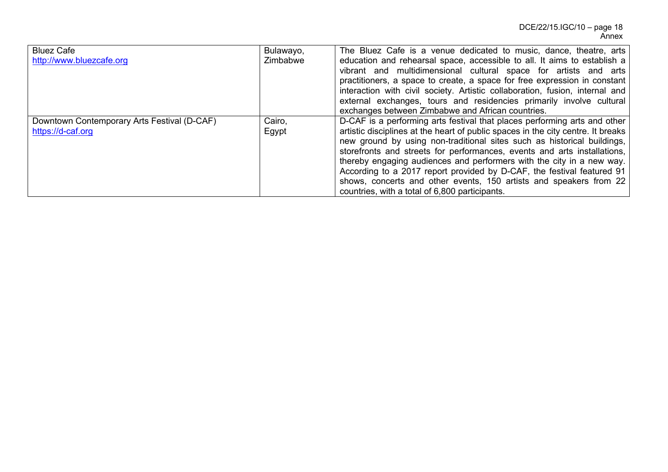| <b>Bluez Cafe</b><br>http://www.bluezcafe.org                    | Bulawayo,<br>Zimbabwe | The Bluez Cafe is a venue dedicated to music, dance, theatre, arts<br>education and rehearsal space, accessible to all. It aims to establish a<br>vibrant and multidimensional cultural space for artists and arts<br>practitioners, a space to create, a space for free expression in constant<br>interaction with civil society. Artistic collaboration, fusion, internal and<br>external exchanges, tours and residencies primarily involve cultural<br>exchanges between Zimbabwe and African countries.                                                                                    |
|------------------------------------------------------------------|-----------------------|-------------------------------------------------------------------------------------------------------------------------------------------------------------------------------------------------------------------------------------------------------------------------------------------------------------------------------------------------------------------------------------------------------------------------------------------------------------------------------------------------------------------------------------------------------------------------------------------------|
| Downtown Contemporary Arts Festival (D-CAF)<br>https://d-caf.org | Cairo,<br>Egypt       | D-CAF is a performing arts festival that places performing arts and other<br>artistic disciplines at the heart of public spaces in the city centre. It breaks<br>new ground by using non-traditional sites such as historical buildings,<br>storefronts and streets for performances, events and arts installations,<br>thereby engaging audiences and performers with the city in a new way.<br>According to a 2017 report provided by D-CAF, the festival featured 91<br>shows, concerts and other events, 150 artists and speakers from 22<br>countries, with a total of 6,800 participants. |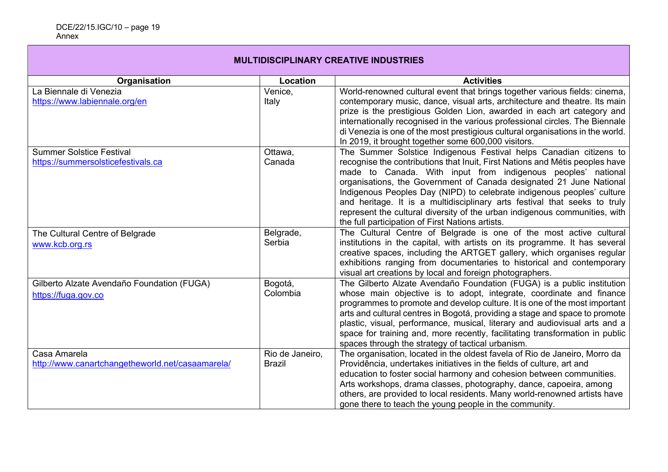# **MULTIDISCIPLINARY CREATIVE INDUSTRIES**

| Organisation                                     | Location        | <b>Activities</b>                                                                                                              |
|--------------------------------------------------|-----------------|--------------------------------------------------------------------------------------------------------------------------------|
| La Biennale di Venezia                           | Venice,         | World-renowned cultural event that brings together various fields: cinema,                                                     |
| https://www.labiennale.org/en                    | Italy           | contemporary music, dance, visual arts, architecture and theatre. Its main                                                     |
|                                                  |                 | prize is the prestigious Golden Lion, awarded in each art category and                                                         |
|                                                  |                 | internationally recognised in the various professional circles. The Biennale                                                   |
|                                                  |                 | di Venezia is one of the most prestigious cultural organisations in the world.                                                 |
|                                                  |                 | In 2019, it brought together some 600,000 visitors.                                                                            |
| <b>Summer Solstice Festival</b>                  | Ottawa,         | The Summer Solstice Indigenous Festival helps Canadian citizens to                                                             |
| https://summersolsticefestivals.ca               | Canada          | recognise the contributions that Inuit, First Nations and Métis peoples have                                                   |
|                                                  |                 | made to Canada. With input from indigenous peoples' national                                                                   |
|                                                  |                 | organisations, the Government of Canada designated 21 June National                                                            |
|                                                  |                 | Indigenous Peoples Day (NIPD) to celebrate indigenous peoples' culture                                                         |
|                                                  |                 | and heritage. It is a multidisciplinary arts festival that seeks to truly                                                      |
|                                                  |                 | represent the cultural diversity of the urban indigenous communities, with<br>the full participation of First Nations artists. |
|                                                  | Belgrade,       | The Cultural Centre of Belgrade is one of the most active cultural                                                             |
| The Cultural Centre of Belgrade                  | Serbia          | institutions in the capital, with artists on its programme. It has several                                                     |
| www.kcb.org.rs                                   |                 | creative spaces, including the ARTGET gallery, which organises regular                                                         |
|                                                  |                 | exhibitions ranging from documentaries to historical and contemporary                                                          |
|                                                  |                 | visual art creations by local and foreign photographers.                                                                       |
| Gilberto Alzate Avendaño Foundation (FUGA)       | Bogotá,         | The Gilberto Alzate Avendaño Foundation (FUGA) is a public institution                                                         |
| https://fuga.gov.co                              | Colombia        | whose main objective is to adopt, integrate, coordinate and finance                                                            |
|                                                  |                 | programmes to promote and develop culture. It is one of the most important                                                     |
|                                                  |                 | arts and cultural centres in Bogotá, providing a stage and space to promote                                                    |
|                                                  |                 | plastic, visual, performance, musical, literary and audiovisual arts and a                                                     |
|                                                  |                 | space for training and, more recently, facilitating transformation in public                                                   |
|                                                  |                 | spaces through the strategy of tactical urbanism.                                                                              |
| Casa Amarela                                     | Rio de Janeiro, | The organisation, located in the oldest favela of Rio de Janeiro, Morro da                                                     |
| http://www.canartchangetheworld.net/casaamarela/ | <b>Brazil</b>   | Providência, undertakes initiatives in the fields of culture, art and                                                          |
|                                                  |                 | education to foster social harmony and cohesion between communities.                                                           |
|                                                  |                 | Arts workshops, drama classes, photography, dance, capoeira, among                                                             |
|                                                  |                 | others, are provided to local residents. Many world-renowned artists have                                                      |
|                                                  |                 | gone there to teach the young people in the community.                                                                         |